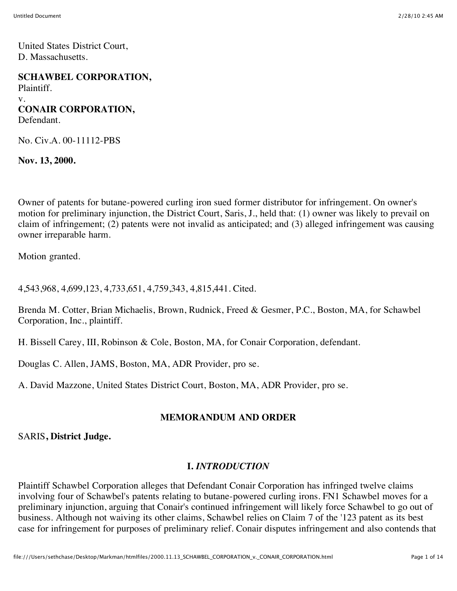United States District Court, D. Massachusetts.

**SCHAWBEL CORPORATION,** Plaintiff. v. **CONAIR CORPORATION,** Defendant.

No. Civ.A. 00-11112-PBS

**Nov. 13, 2000.**

Owner of patents for butane-powered curling iron sued former distributor for infringement. On owner's motion for preliminary injunction, the District Court, Saris, J., held that: (1) owner was likely to prevail on claim of infringement; (2) patents were not invalid as anticipated; and (3) alleged infringement was causing owner irreparable harm.

Motion granted.

4,543,968, 4,699,123, 4,733,651, 4,759,343, 4,815,441. Cited.

Brenda M. Cotter, Brian Michaelis, Brown, Rudnick, Freed & Gesmer, P.C., Boston, MA, for Schawbel Corporation, Inc., plaintiff.

H. Bissell Carey, III, Robinson & Cole, Boston, MA, for Conair Corporation, defendant.

Douglas C. Allen, JAMS, Boston, MA, ADR Provider, pro se.

A. David Mazzone, United States District Court, Boston, MA, ADR Provider, pro se.

### **MEMORANDUM AND ORDER**

SARIS**, District Judge.**

### **I.** *INTRODUCTION*

Plaintiff Schawbel Corporation alleges that Defendant Conair Corporation has infringed twelve claims involving four of Schawbel's patents relating to butane-powered curling irons. FN1 Schawbel moves for a preliminary injunction, arguing that Conair's continued infringement will likely force Schawbel to go out of business. Although not waiving its other claims, Schawbel relies on Claim 7 of the '123 patent as its best case for infringement for purposes of preliminary relief. Conair disputes infringement and also contends that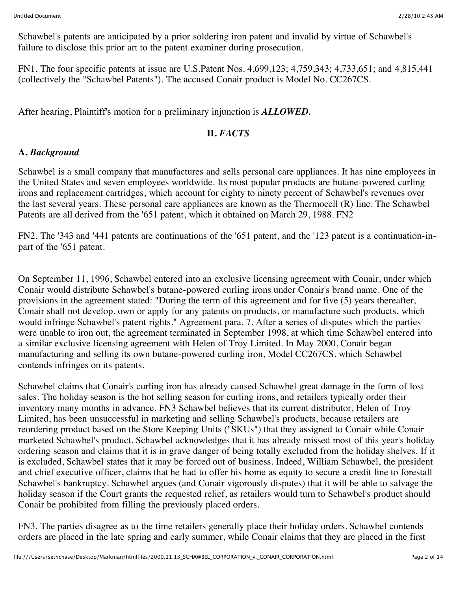Schawbel's patents are anticipated by a prior soldering iron patent and invalid by virtue of Schawbel's failure to disclose this prior art to the patent examiner during prosecution.

FN1. The four specific patents at issue are U.S.Patent Nos. 4,699,123; 4,759,343; 4,733,651; and 4,815,441 (collectively the "Schawbel Patents"). The accused Conair product is Model No. CC267CS.

After hearing, Plaintiff's motion for a preliminary injunction is *ALLOWED.*

### **II.** *FACTS*

### **A.** *Background*

Schawbel is a small company that manufactures and sells personal care appliances. It has nine employees in the United States and seven employees worldwide. Its most popular products are butane-powered curling irons and replacement cartridges, which account for eighty to ninety percent of Schawbel's revenues over the last several years. These personal care appliances are known as the Thermocell (R) line. The Schawbel Patents are all derived from the '651 patent, which it obtained on March 29, 1988. FN2

FN2. The '343 and '441 patents are continuations of the '651 patent, and the '123 patent is a continuation-inpart of the '651 patent.

On September 11, 1996, Schawbel entered into an exclusive licensing agreement with Conair, under which Conair would distribute Schawbel's butane-powered curling irons under Conair's brand name. One of the provisions in the agreement stated: "During the term of this agreement and for five (5) years thereafter, Conair shall not develop, own or apply for any patents on products, or manufacture such products, which would infringe Schawbel's patent rights." Agreement para. 7. After a series of disputes which the parties were unable to iron out, the agreement terminated in September 1998, at which time Schawbel entered into a similar exclusive licensing agreement with Helen of Troy Limited. In May 2000, Conair began manufacturing and selling its own butane-powered curling iron, Model CC267CS, which Schawbel contends infringes on its patents.

Schawbel claims that Conair's curling iron has already caused Schawbel great damage in the form of lost sales. The holiday season is the hot selling season for curling irons, and retailers typically order their inventory many months in advance. FN3 Schawbel believes that its current distributor, Helen of Troy Limited, has been unsuccessful in marketing and selling Schawbel's products, because retailers are reordering product based on the Store Keeping Units ("SKUs") that they assigned to Conair while Conair marketed Schawbel's product. Schawbel acknowledges that it has already missed most of this year's holiday ordering season and claims that it is in grave danger of being totally excluded from the holiday shelves. If it is excluded, Schawbel states that it may be forced out of business. Indeed, William Schawbel, the president and chief executive officer, claims that he had to offer his home as equity to secure a credit line to forestall Schawbel's bankruptcy. Schawbel argues (and Conair vigorously disputes) that it will be able to salvage the holiday season if the Court grants the requested relief, as retailers would turn to Schawbel's product should Conair be prohibited from filling the previously placed orders.

FN3. The parties disagree as to the time retailers generally place their holiday orders. Schawbel contends orders are placed in the late spring and early summer, while Conair claims that they are placed in the first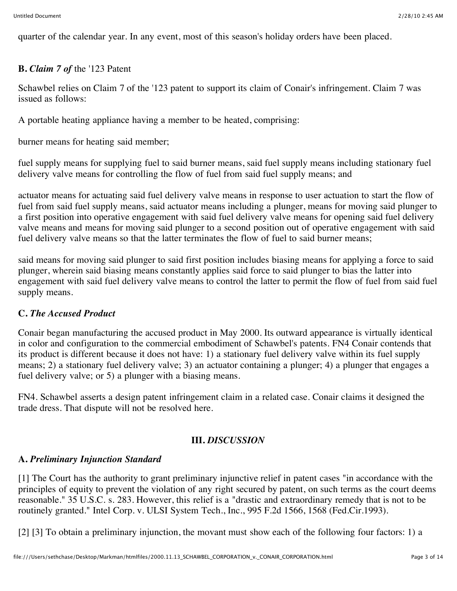quarter of the calendar year. In any event, most of this season's holiday orders have been placed.

### **B.** *Claim 7 of* the '123 Patent

Schawbel relies on Claim 7 of the '123 patent to support its claim of Conair's infringement. Claim 7 was issued as follows:

A portable heating appliance having a member to be heated, comprising:

burner means for heating said member;

fuel supply means for supplying fuel to said burner means, said fuel supply means including stationary fuel delivery valve means for controlling the flow of fuel from said fuel supply means; and

actuator means for actuating said fuel delivery valve means in response to user actuation to start the flow of fuel from said fuel supply means, said actuator means including a plunger, means for moving said plunger to a first position into operative engagement with said fuel delivery valve means for opening said fuel delivery valve means and means for moving said plunger to a second position out of operative engagement with said fuel delivery valve means so that the latter terminates the flow of fuel to said burner means;

said means for moving said plunger to said first position includes biasing means for applying a force to said plunger, wherein said biasing means constantly applies said force to said plunger to bias the latter into engagement with said fuel delivery valve means to control the latter to permit the flow of fuel from said fuel supply means.

### **C.** *The Accused Product*

Conair began manufacturing the accused product in May 2000. Its outward appearance is virtually identical in color and configuration to the commercial embodiment of Schawbel's patents. FN4 Conair contends that its product is different because it does not have: 1) a stationary fuel delivery valve within its fuel supply means; 2) a stationary fuel delivery valve; 3) an actuator containing a plunger; 4) a plunger that engages a fuel delivery valve; or 5) a plunger with a biasing means.

FN4. Schawbel asserts a design patent infringement claim in a related case. Conair claims it designed the trade dress. That dispute will not be resolved here.

### **III.** *DISCUSSION*

### **A.** *Preliminary Injunction Standard*

[1] The Court has the authority to grant preliminary injunctive relief in patent cases "in accordance with the principles of equity to prevent the violation of any right secured by patent, on such terms as the court deems reasonable." 35 U.S.C. s. 283. However, this relief is a "drastic and extraordinary remedy that is not to be routinely granted." Intel Corp. v. ULSI System Tech., Inc., 995 F.2d 1566, 1568 (Fed.Cir.1993).

[2] [3] To obtain a preliminary injunction, the movant must show each of the following four factors: 1) a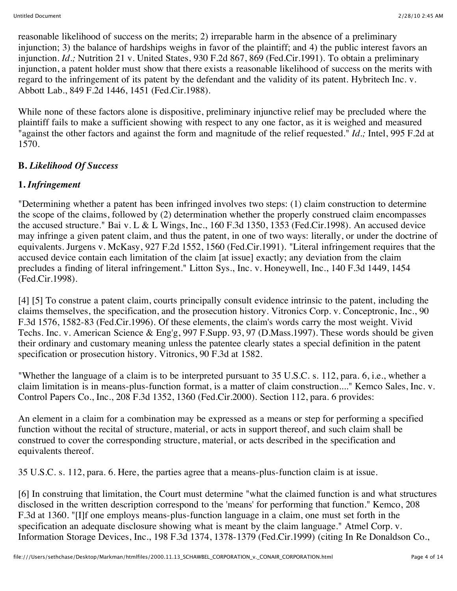reasonable likelihood of success on the merits; 2) irreparable harm in the absence of a preliminary injunction; 3) the balance of hardships weighs in favor of the plaintiff; and 4) the public interest favors an injunction. *Id.;* Nutrition 21 v. United States, 930 F.2d 867, 869 (Fed.Cir.1991). To obtain a preliminary injunction, a patent holder must show that there exists a reasonable likelihood of success on the merits with regard to the infringement of its patent by the defendant and the validity of its patent. Hybritech Inc. v. Abbott Lab., 849 F.2d 1446, 1451 (Fed.Cir.1988).

While none of these factors alone is dispositive, preliminary injunctive relief may be precluded where the plaintiff fails to make a sufficient showing with respect to any one factor, as it is weighed and measured "against the other factors and against the form and magnitude of the relief requested." *Id.;* Intel, 995 F.2d at 1570.

# **B.** *Likelihood Of Success*

# **1.** *Infringement*

"Determining whether a patent has been infringed involves two steps: (1) claim construction to determine the scope of the claims, followed by (2) determination whether the properly construed claim encompasses the accused structure." Bai v. L & L Wings, Inc., 160 F.3d 1350, 1353 (Fed.Cir.1998). An accused device may infringe a given patent claim, and thus the patent, in one of two ways: literally, or under the doctrine of equivalents. Jurgens v. McKasy, 927 F.2d 1552, 1560 (Fed.Cir.1991). "Literal infringement requires that the accused device contain each limitation of the claim [at issue] exactly; any deviation from the claim precludes a finding of literal infringement." Litton Sys., Inc. v. Honeywell, Inc., 140 F.3d 1449, 1454 (Fed.Cir.1998).

[4] [5] To construe a patent claim, courts principally consult evidence intrinsic to the patent, including the claims themselves, the specification, and the prosecution history. Vitronics Corp. v. Conceptronic, Inc., 90 F.3d 1576, 1582-83 (Fed.Cir.1996). Of these elements, the claim's words carry the most weight. Vivid Techs. Inc. v. American Science & Eng'g, 997 F.Supp. 93, 97 (D.Mass.1997). These words should be given their ordinary and customary meaning unless the patentee clearly states a special definition in the patent specification or prosecution history. Vitronics, 90 F.3d at 1582.

"Whether the language of a claim is to be interpreted pursuant to 35 U.S.C. s. 112, para. 6, i.e., whether a claim limitation is in means-plus-function format, is a matter of claim construction...." Kemco Sales, Inc. v. Control Papers Co., Inc., 208 F.3d 1352, 1360 (Fed.Cir.2000). Section 112, para. 6 provides:

An element in a claim for a combination may be expressed as a means or step for performing a specified function without the recital of structure, material, or acts in support thereof, and such claim shall be construed to cover the corresponding structure, material, or acts described in the specification and equivalents thereof.

35 U.S.C. s. 112, para. 6. Here, the parties agree that a means-plus-function claim is at issue.

[6] In construing that limitation, the Court must determine "what the claimed function is and what structures disclosed in the written description correspond to the 'means' for performing that function." Kemco, 208 F.3d at 1360. "[I]f one employs means-plus-function language in a claim, one must set forth in the specification an adequate disclosure showing what is meant by the claim language." Atmel Corp. v. Information Storage Devices, Inc., 198 F.3d 1374, 1378-1379 (Fed.Cir.1999) (citing In Re Donaldson Co.,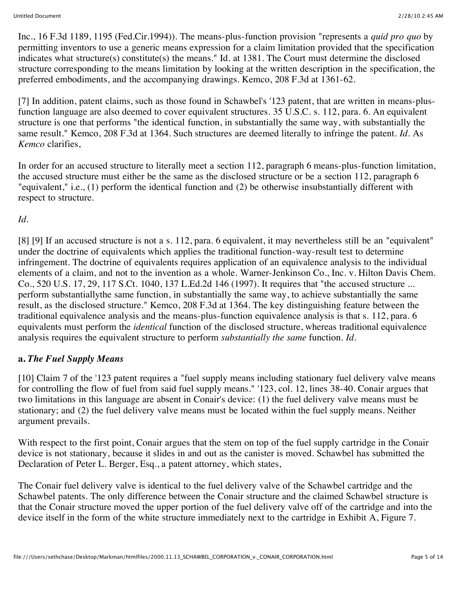Inc., 16 F.3d 1189, 1195 (Fed.Cir.1994)). The means-plus-function provision "represents a *quid pro quo* by permitting inventors to use a generic means expression for a claim limitation provided that the specification indicates what structure(s) constitute(s) the means." Id. at 1381. The Court must determine the disclosed structure corresponding to the means limitation by looking at the written description in the specification, the preferred embodiments, and the accompanying drawings. Kemco, 208 F.3d at 1361-62.

[7] In addition, patent claims, such as those found in Schawbel's '123 patent, that are written in means-plusfunction language are also deemed to cover equivalent structures. 35 U.S.C. s. 112, para. 6. An equivalent structure is one that performs "the identical function, in substantially the same way, with substantially the same result." Kemco, 208 F.3d at 1364. Such structures are deemed literally to infringe the patent. *Id.* As *Kemco* clarifies,

In order for an accused structure to literally meet a section 112, paragraph 6 means-plus-function limitation, the accused structure must either be the same as the disclosed structure or be a section 112, paragraph 6 "equivalent," i.e., (1) perform the identical function and (2) be otherwise insubstantially different with respect to structure.

# *Id.*

[8] [9] If an accused structure is not a s. 112, para. 6 equivalent, it may nevertheless still be an "equivalent" under the doctrine of equivalents which applies the traditional function-way-result test to determine infringement. The doctrine of equivalents requires application of an equivalence analysis to the individual elements of a claim, and not to the invention as a whole. Warner-Jenkinson Co., Inc. v. Hilton Davis Chem. Co., 520 U.S. 17, 29, 117 S.Ct. 1040, 137 L.Ed.2d 146 (1997). It requires that "the accused structure ... perform substantiallythe same function, in substantially the same way, to achieve substantially the same result, as the disclosed structure." Kemco, 208 F.3d at 1364. The key distinguishing feature between the traditional equivalence analysis and the means-plus-function equivalence analysis is that s. 112, para. 6 equivalents must perform the *identical* function of the disclosed structure, whereas traditional equivalence analysis requires the equivalent structure to perform *substantially the same* function. *Id.*

#### **a.** *The Fuel Supply Means*

[10] Claim 7 of the '123 patent requires a "fuel supply means including stationary fuel delivery valve means for controlling the flow of fuel from said fuel supply means." '123, col. 12, lines 38-40. Conair argues that two limitations in this language are absent in Conair's device: (1) the fuel delivery valve means must be stationary; and (2) the fuel delivery valve means must be located within the fuel supply means. Neither argument prevails.

With respect to the first point, Conair argues that the stem on top of the fuel supply cartridge in the Conair device is not stationary, because it slides in and out as the canister is moved. Schawbel has submitted the Declaration of Peter L. Berger, Esq., a patent attorney, which states,

The Conair fuel delivery valve is identical to the fuel delivery valve of the Schawbel cartridge and the Schawbel patents. The only difference between the Conair structure and the claimed Schawbel structure is that the Conair structure moved the upper portion of the fuel delivery valve off of the cartridge and into the device itself in the form of the white structure immediately next to the cartridge in Exhibit A, Figure 7.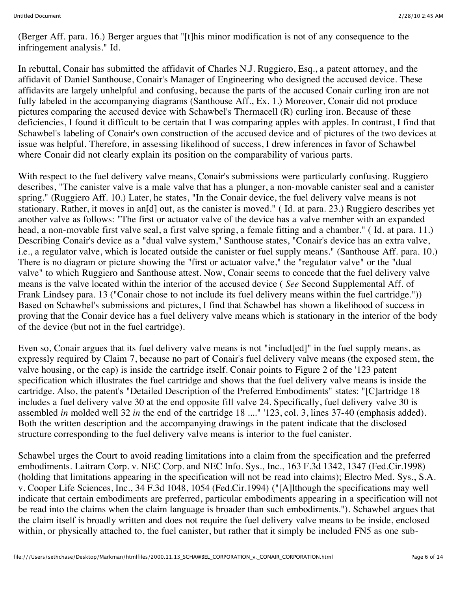(Berger Aff. para. 16.) Berger argues that "[t]his minor modification is not of any consequence to the infringement analysis." Id.

In rebuttal, Conair has submitted the affidavit of Charles N.J. Ruggiero, Esq., a patent attorney, and the affidavit of Daniel Santhouse, Conair's Manager of Engineering who designed the accused device. These affidavits are largely unhelpful and confusing, because the parts of the accused Conair curling iron are not fully labeled in the accompanying diagrams (Santhouse Aff., Ex. 1.) Moreover, Conair did not produce pictures comparing the accused device with Schawbel's Thermacell (R) curling iron. Because of these deficiencies, I found it difficult to be certain that I was comparing apples with apples. In contrast, I find that Schawbel's labeling of Conair's own construction of the accused device and of pictures of the two devices at issue was helpful. Therefore, in assessing likelihood of success, I drew inferences in favor of Schawbel where Conair did not clearly explain its position on the comparability of various parts.

With respect to the fuel delivery valve means, Conair's submissions were particularly confusing. Ruggiero describes, "The canister valve is a male valve that has a plunger, a non-movable canister seal and a canister spring." (Ruggiero Aff. 10.) Later, he states, "In the Conair device, the fuel delivery valve means is not stationary. Rather, it moves in an[d] out, as the canister is moved." ( Id. at para. 23.) Ruggiero describes yet another valve as follows: "The first or actuator valve of the device has a valve member with an expanded head, a non-movable first valve seal, a first valve spring, a female fitting and a chamber." ( Id. at para. 11.) Describing Conair's device as a "dual valve system," Santhouse states, "Conair's device has an extra valve, i.e., a regulator valve, which is located outside the canister or fuel supply means." (Santhouse Aff. para. 10.) There is no diagram or picture showing the "first or actuator valve," the "regulator valve" or the "dual valve" to which Ruggiero and Santhouse attest. Now, Conair seems to concede that the fuel delivery valve means is the valve located within the interior of the accused device ( *See* Second Supplemental Aff. of Frank Lindsey para. 13 ("Conair chose to not include its fuel delivery means within the fuel cartridge.")) Based on Schawbel's submissions and pictures, I find that Schawbel has shown a likelihood of success in proving that the Conair device has a fuel delivery valve means which is stationary in the interior of the body of the device (but not in the fuel cartridge).

Even so, Conair argues that its fuel delivery valve means is not "includ[ed]" in the fuel supply means, as expressly required by Claim 7, because no part of Conair's fuel delivery valve means (the exposed stem, the valve housing, or the cap) is inside the cartridge itself. Conair points to Figure 2 of the '123 patent specification which illustrates the fuel cartridge and shows that the fuel delivery valve means is inside the cartridge. Also, the patent's "Detailed Description of the Preferred Embodiments" states: "[C]artridge 18 includes a fuel delivery valve 30 at the end opposite fill valve 24. Specifically, fuel delivery valve 30 is assembled *in* molded well 32 *in* the end of the cartridge 18 ...." '123, col. 3, lines 37-40 (emphasis added). Both the written description and the accompanying drawings in the patent indicate that the disclosed structure corresponding to the fuel delivery valve means is interior to the fuel canister.

Schawbel urges the Court to avoid reading limitations into a claim from the specification and the preferred embodiments. Laitram Corp. v. NEC Corp. and NEC Info. Sys., Inc., 163 F.3d 1342, 1347 (Fed.Cir.1998) (holding that limitations appearing in the specification will not be read into claims); Electro Med. Sys., S.A. v. Cooper Life Sciences, Inc., 34 F.3d 1048, 1054 (Fed.Cir.1994) ("[A]lthough the specifications may well indicate that certain embodiments are preferred, particular embodiments appearing in a specification will not be read into the claims when the claim language is broader than such embodiments."). Schawbel argues that the claim itself is broadly written and does not require the fuel delivery valve means to be inside, enclosed within, or physically attached to, the fuel canister, but rather that it simply be included FN5 as one sub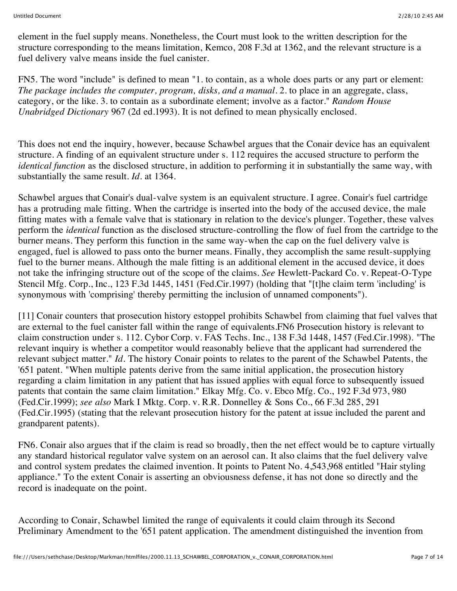element in the fuel supply means. Nonetheless, the Court must look to the written description for the structure corresponding to the means limitation, Kemco, 208 F.3d at 1362, and the relevant structure is a fuel delivery valve means inside the fuel canister.

FN5. The word "include" is defined to mean "1. to contain, as a whole does parts or any part or element: *The package includes the computer, program, disks, and a manual.* 2. to place in an aggregate, class, category, or the like. 3. to contain as a subordinate element; involve as a factor." *Random House Unabridged Dictionary* 967 (2d ed.1993). It is not defined to mean physically enclosed.

This does not end the inquiry, however, because Schawbel argues that the Conair device has an equivalent structure. A finding of an equivalent structure under s. 112 requires the accused structure to perform the *identical function* as the disclosed structure, in addition to performing it in substantially the same way, with substantially the same result. *Id.* at 1364.

Schawbel argues that Conair's dual-valve system is an equivalent structure. I agree. Conair's fuel cartridge has a protruding male fitting. When the cartridge is inserted into the body of the accused device, the male fitting mates with a female valve that is stationary in relation to the device's plunger. Together, these valves perform the *identical* function as the disclosed structure-controlling the flow of fuel from the cartridge to the burner means. They perform this function in the same way-when the cap on the fuel delivery valve is engaged, fuel is allowed to pass onto the burner means. Finally, they accomplish the same result-supplying fuel to the burner means. Although the male fitting is an additional element in the accused device, it does not take the infringing structure out of the scope of the claims. *See* Hewlett-Packard Co. v. Repeat-O-Type Stencil Mfg. Corp., Inc., 123 F.3d 1445, 1451 (Fed.Cir.1997) (holding that "[t]he claim term 'including' is synonymous with 'comprising' thereby permitting the inclusion of unnamed components").

[11] Conair counters that prosecution history estoppel prohibits Schawbel from claiming that fuel valves that are external to the fuel canister fall within the range of equivalents.FN6 Prosecution history is relevant to claim construction under s. 112. Cybor Corp. v. FAS Techs. Inc., 138 F.3d 1448, 1457 (Fed.Cir.1998). "The relevant inquiry is whether a competitor would reasonably believe that the applicant had surrendered the relevant subject matter." *Id.* The history Conair points to relates to the parent of the Schawbel Patents, the '651 patent. "When multiple patents derive from the same initial application, the prosecution history regarding a claim limitation in any patient that has issued applies with equal force to subsequently issued patents that contain the same claim limitation." Elkay Mfg. Co. v. Ebco Mfg. Co., 192 F.3d 973, 980 (Fed.Cir.1999); *see also* Mark I Mktg. Corp. v. R.R. Donnelley & Sons Co., 66 F.3d 285, 291 (Fed.Cir.1995) (stating that the relevant prosecution history for the patent at issue included the parent and grandparent patents).

FN6. Conair also argues that if the claim is read so broadly, then the net effect would be to capture virtually any standard historical regulator valve system on an aerosol can. It also claims that the fuel delivery valve and control system predates the claimed invention. It points to Patent No. 4,543,968 entitled "Hair styling appliance." To the extent Conair is asserting an obviousness defense, it has not done so directly and the record is inadequate on the point.

According to Conair, Schawbel limited the range of equivalents it could claim through its Second Preliminary Amendment to the '651 patent application. The amendment distinguished the invention from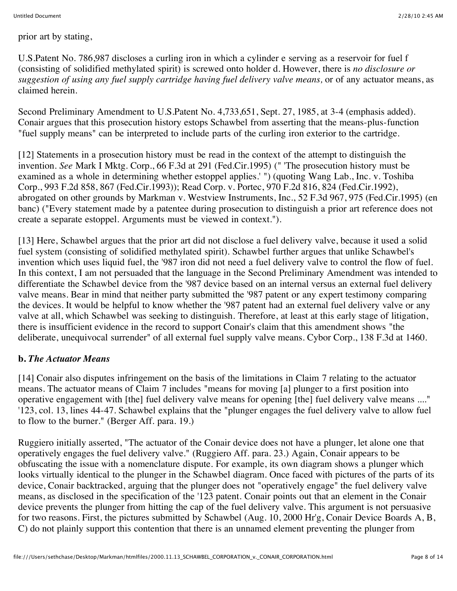prior art by stating,

U.S.Patent No. 786,987 discloses a curling iron in which a cylinder e serving as a reservoir for fuel f (consisting of solidified methylated spirit) is screwed onto holder d. However, there is *no disclosure or suggestion of using any fuel supply cartridge having fuel delivery valve means,* or of any actuator means, as claimed herein.

Second Preliminary Amendment to U.S.Patent No. 4,733,651, Sept. 27, 1985, at 3-4 (emphasis added). Conair argues that this prosecution history estops Schawbel from asserting that the means-plus-function "fuel supply means" can be interpreted to include parts of the curling iron exterior to the cartridge.

[12] Statements in a prosecution history must be read in the context of the attempt to distinguish the invention. *See* Mark I Mktg. Corp., 66 F.3d at 291 (Fed.Cir.1995) (" 'The prosecution history must be examined as a whole in determining whether estoppel applies.' ") (quoting Wang Lab., Inc. v. Toshiba Corp., 993 F.2d 858, 867 (Fed.Cir.1993)); Read Corp. v. Portec, 970 F.2d 816, 824 (Fed.Cir.1992), abrogated on other grounds by Markman v. Westview Instruments, Inc., 52 F.3d 967, 975 (Fed.Cir.1995) (en banc) ("Every statement made by a patentee during prosecution to distinguish a prior art reference does not create a separate estoppel. Arguments must be viewed in context.").

[13] Here, Schawbel argues that the prior art did not disclose a fuel delivery valve, because it used a solid fuel system (consisting of solidified methylated spirit). Schawbel further argues that unlike Schawbel's invention which uses liquid fuel, the '987 iron did not need a fuel delivery valve to control the flow of fuel. In this context, I am not persuaded that the language in the Second Preliminary Amendment was intended to differentiate the Schawbel device from the '987 device based on an internal versus an external fuel delivery valve means. Bear in mind that neither party submitted the '987 patent or any expert testimony comparing the devices. It would be helpful to know whether the '987 patent had an external fuel delivery valve or any valve at all, which Schawbel was seeking to distinguish. Therefore, at least at this early stage of litigation, there is insufficient evidence in the record to support Conair's claim that this amendment shows "the deliberate, unequivocal surrender" of all external fuel supply valve means. Cybor Corp., 138 F.3d at 1460.

# **b.** *The Actuator Means*

[14] Conair also disputes infringement on the basis of the limitations in Claim 7 relating to the actuator means. The actuator means of Claim 7 includes "means for moving [a] plunger to a first position into operative engagement with [the] fuel delivery valve means for opening [the] fuel delivery valve means ...." '123, col. 13, lines 44-47. Schawbel explains that the "plunger engages the fuel delivery valve to allow fuel to flow to the burner." (Berger Aff. para. 19.)

Ruggiero initially asserted, "The actuator of the Conair device does not have a plunger, let alone one that operatively engages the fuel delivery valve." (Ruggiero Aff. para. 23.) Again, Conair appears to be obfuscating the issue with a nomenclature dispute. For example, its own diagram shows a plunger which looks virtually identical to the plunger in the Schawbel diagram. Once faced with pictures of the parts of its device, Conair backtracked, arguing that the plunger does not "operatively engage" the fuel delivery valve means, as disclosed in the specification of the '123 patent. Conair points out that an element in the Conair device prevents the plunger from hitting the cap of the fuel delivery valve. This argument is not persuasive for two reasons. First, the pictures submitted by Schawbel (Aug. 10, 2000 Hr'g, Conair Device Boards A, B, C) do not plainly support this contention that there is an unnamed element preventing the plunger from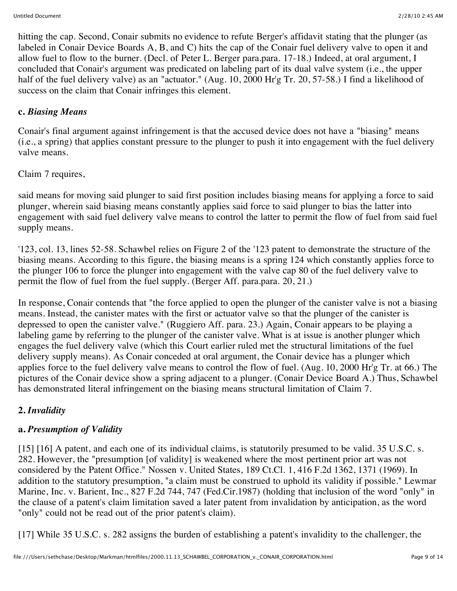hitting the cap. Second, Conair submits no evidence to refute Berger's affidavit stating that the plunger (as labeled in Conair Device Boards A, B, and C) hits the cap of the Conair fuel delivery valve to open it and allow fuel to flow to the burner. (Decl. of Peter L. Berger para.para. 17-18.) Indeed, at oral argument, I concluded that Conair's argument was predicated on labeling part of its dual valve system (i.e., the upper half of the fuel delivery valve) as an "actuator." (Aug. 10, 2000 Hr'g Tr. 20, 57-58.) I find a likelihood of success on the claim that Conair infringes this element.

### **c.** *Biasing Means*

Conair's final argument against infringement is that the accused device does not have a "biasing" means (i.e., a spring) that applies constant pressure to the plunger to push it into engagement with the fuel delivery valve means.

### Claim 7 requires,

said means for moving said plunger to said first position includes biasing means for applying a force to said plunger, wherein said biasing means constantly applies said force to said plunger to bias the latter into engagement with said fuel delivery valve means to control the latter to permit the flow of fuel from said fuel supply means.

'123, col. 13, lines 52-58. Schawbel relies on Figure 2 of the '123 patent to demonstrate the structure of the biasing means. According to this figure, the biasing means is a spring 124 which constantly applies force to the plunger 106 to force the plunger into engagement with the valve cap 80 of the fuel delivery valve to permit the flow of fuel from the fuel supply. (Berger Aff. para.para. 20, 21.)

In response, Conair contends that "the force applied to open the plunger of the canister valve is not a biasing means. Instead, the canister mates with the first or actuator valve so that the plunger of the canister is depressed to open the canister valve." (Ruggiero Aff. para. 23.) Again, Conair appears to be playing a labeling game by referring to the plunger of the canister valve. What is at issue is another plunger which engages the fuel delivery valve (which this Court earlier ruled met the structural limitations of the fuel delivery supply means). As Conair conceded at oral argument, the Conair device has a plunger which applies force to the fuel delivery valve means to control the flow of fuel. (Aug. 10, 2000 Hr'g Tr. at 66.) The pictures of the Conair device show a spring adjacent to a plunger. (Conair Device Board A.) Thus, Schawbel has demonstrated literal infringement on the biasing means structural limitation of Claim 7.

# **2.** *Invalidity*

# **a.** *Presumption of Validity*

[15] [16] A patent, and each one of its individual claims, is statutorily presumed to be valid. 35 U.S.C. s. 282. However, the "presumption [of validity] is weakened where the most pertinent prior art was not considered by the Patent Office." Nossen v. United States, 189 Ct.Cl. 1, 416 F.2d 1362, 1371 (1969). In addition to the statutory presumption, "a claim must be construed to uphold its validity if possible." Lewmar Marine, Inc. v. Barient, Inc., 827 F.2d 744, 747 (Fed.Cir.1987) (holding that inclusion of the word "only" in the clause of a patent's claim limitation saved a later patent from invalidation by anticipation, as the word "only" could not be read out of the prior patent's claim).

[17] While 35 U.S.C. s. 282 assigns the burden of establishing a patent's invalidity to the challenger, the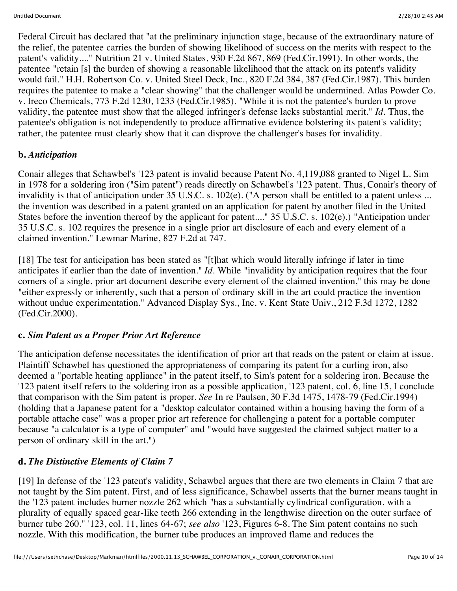Federal Circuit has declared that "at the preliminary injunction stage, because of the extraordinary nature of the relief, the patentee carries the burden of showing likelihood of success on the merits with respect to the patent's validity...." Nutrition 21 v. United States, 930 F.2d 867, 869 (Fed.Cir.1991). In other words, the patentee "retain [s] the burden of showing a reasonable likelihood that the attack on its patent's validity would fail." H.H. Robertson Co. v. United Steel Deck, Inc., 820 F.2d 384, 387 (Fed.Cir.1987). This burden requires the patentee to make a "clear showing" that the challenger would be undermined. Atlas Powder Co. v. Ireco Chemicals, 773 F.2d 1230, 1233 (Fed.Cir.1985). "While it is not the patentee's burden to prove validity, the patentee must show that the alleged infringer's defense lacks substantial merit." *Id.* Thus, the patentee's obligation is not independently to produce affirmative evidence bolstering its patent's validity; rather, the patentee must clearly show that it can disprove the challenger's bases for invalidity.

### **b.** *Anticipation*

Conair alleges that Schawbel's '123 patent is invalid because Patent No. 4,119,088 granted to Nigel L. Sim in 1978 for a soldering iron ("Sim patent") reads directly on Schawbel's '123 patent. Thus, Conair's theory of invalidity is that of anticipation under 35 U.S.C. s. 102(e). ("A person shall be entitled to a patent unless ... the invention was described in a patent granted on an application for patent by another filed in the United States before the invention thereof by the applicant for patent...." 35 U.S.C. s. 102(e).) "Anticipation under 35 U.S.C. s. 102 requires the presence in a single prior art disclosure of each and every element of a claimed invention." Lewmar Marine, 827 F.2d at 747.

[18] The test for anticipation has been stated as "[t]hat which would literally infringe if later in time anticipates if earlier than the date of invention." *Id.* While "invalidity by anticipation requires that the four corners of a single, prior art document describe every element of the claimed invention," this may be done "either expressly or inherently, such that a person of ordinary skill in the art could practice the invention without undue experimentation." Advanced Display Sys., Inc. v. Kent State Univ., 212 F.3d 1272, 1282 (Fed.Cir.2000).

### **c.** *Sim Patent as a Proper Prior Art Reference*

The anticipation defense necessitates the identification of prior art that reads on the patent or claim at issue. Plaintiff Schawbel has questioned the appropriateness of comparing its patent for a curling iron, also deemed a "portable heating appliance" in the patent itself, to Sim's patent for a soldering iron. Because the '123 patent itself refers to the soldering iron as a possible application, '123 patent, col. 6, line 15, I conclude that comparison with the Sim patent is proper. *See* In re Paulsen, 30 F.3d 1475, 1478-79 (Fed.Cir.1994) (holding that a Japanese patent for a "desktop calculator contained within a housing having the form of a portable attache case" was a proper prior art reference for challenging a patent for a portable computer because "a calculator is a type of computer" and "would have suggested the claimed subject matter to a person of ordinary skill in the art.")

### **d.** *The Distinctive Elements of Claim 7*

[19] In defense of the '123 patent's validity, Schawbel argues that there are two elements in Claim 7 that are not taught by the Sim patent. First, and of less significance, Schawbel asserts that the burner means taught in the '123 patent includes burner nozzle 262 which "has a substantially cylindrical configuration, with a plurality of equally spaced gear-like teeth 266 extending in the lengthwise direction on the outer surface of burner tube 260." '123, col. 11, lines 64-67; *see also* '123, Figures 6-8. The Sim patent contains no such nozzle. With this modification, the burner tube produces an improved flame and reduces the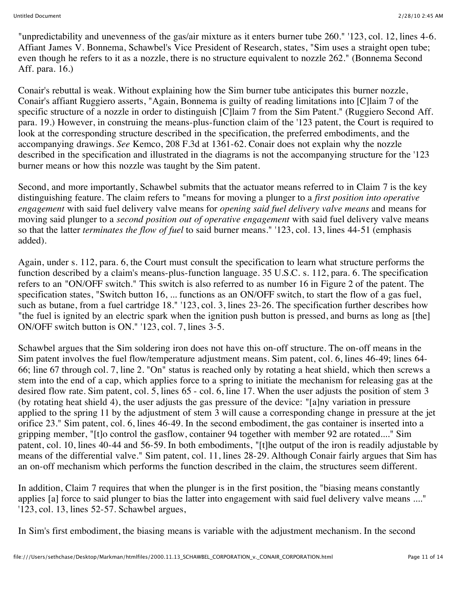"unpredictability and unevenness of the gas/air mixture as it enters burner tube 260." '123, col. 12, lines 4-6. Affiant James V. Bonnema, Schawbel's Vice President of Research, states, "Sim uses a straight open tube; even though he refers to it as a nozzle, there is no structure equivalent to nozzle 262." (Bonnema Second Aff. para. 16.)

Conair's rebuttal is weak. Without explaining how the Sim burner tube anticipates this burner nozzle, Conair's affiant Ruggiero asserts, "Again, Bonnema is guilty of reading limitations into [C]laim 7 of the specific structure of a nozzle in order to distinguish [C]laim 7 from the Sim Patent." (Ruggiero Second Aff. para. 19.) However, in construing the means-plus-function claim of the '123 patent, the Court is required to look at the corresponding structure described in the specification, the preferred embodiments, and the accompanying drawings. *See* Kemco, 208 F.3d at 1361-62. Conair does not explain why the nozzle described in the specification and illustrated in the diagrams is not the accompanying structure for the '123 burner means or how this nozzle was taught by the Sim patent.

Second, and more importantly, Schawbel submits that the actuator means referred to in Claim 7 is the key distinguishing feature. The claim refers to "means for moving a plunger to a *first position into operative engagement* with said fuel delivery valve means for *opening said fuel delivery valve means* and means for moving said plunger to a *second position out of operative engagement* with said fuel delivery valve means so that the latter *terminates the flow of fuel* to said burner means." '123, col. 13, lines 44-51 (emphasis added).

Again, under s. 112, para. 6, the Court must consult the specification to learn what structure performs the function described by a claim's means-plus-function language. 35 U.S.C. s. 112, para. 6. The specification refers to an "ON/OFF switch." This switch is also referred to as number 16 in Figure 2 of the patent. The specification states, "Switch button 16, ... functions as an ON/OFF switch, to start the flow of a gas fuel, such as butane, from a fuel cartridge 18." '123, col. 3, lines 23-26. The specification further describes how "the fuel is ignited by an electric spark when the ignition push button is pressed, and burns as long as [the] ON/OFF switch button is ON." '123, col. 7, lines 3-5.

Schawbel argues that the Sim soldering iron does not have this on-off structure. The on-off means in the Sim patent involves the fuel flow/temperature adjustment means. Sim patent, col. 6, lines 46-49; lines 64- 66; line 67 through col. 7, line 2. "On" status is reached only by rotating a heat shield, which then screws a stem into the end of a cap, which applies force to a spring to initiate the mechanism for releasing gas at the desired flow rate. Sim patent, col. 5, lines 65 - col. 6, line 17. When the user adjusts the position of stem 3 (by rotating heat shield 4), the user adjusts the gas pressure of the device: "[a]ny variation in pressure applied to the spring 11 by the adjustment of stem 3 will cause a corresponding change in pressure at the jet orifice 23." Sim patent, col. 6, lines 46-49. In the second embodiment, the gas container is inserted into a gripping member, "[t]o control the gasflow, container 94 together with member 92 are rotated...." Sim patent, col. 10, lines 40-44 and 56-59. In both embodiments, "[t]he output of the iron is readily adjustable by means of the differential valve." Sim patent, col. 11, lines 28-29. Although Conair fairly argues that Sim has an on-off mechanism which performs the function described in the claim, the structures seem different.

In addition, Claim 7 requires that when the plunger is in the first position, the "biasing means constantly applies [a] force to said plunger to bias the latter into engagement with said fuel delivery valve means ...." '123, col. 13, lines 52-57. Schawbel argues,

In Sim's first embodiment, the biasing means is variable with the adjustment mechanism. In the second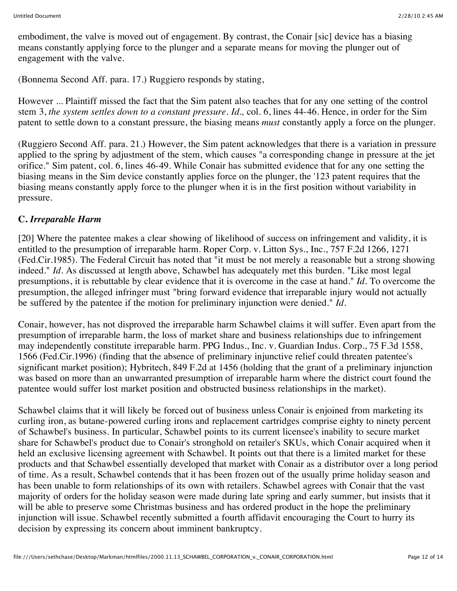embodiment, the valve is moved out of engagement. By contrast, the Conair [sic] device has a biasing means constantly applying force to the plunger and a separate means for moving the plunger out of engagement with the valve.

(Bonnema Second Aff. para. 17.) Ruggiero responds by stating,

However ... Plaintiff missed the fact that the Sim patent also teaches that for any one setting of the control stem 3, *the system settles down to a constant pressure. Id.,* col. 6, lines 44-46. Hence, in order for the Sim patent to settle down to a constant pressure, the biasing means *must* constantly apply a force on the plunger.

(Ruggiero Second Aff. para. 21.) However, the Sim patent acknowledges that there is a variation in pressure applied to the spring by adjustment of the stem, which causes "a corresponding change in pressure at the jet orifice." Sim patent, col. 6, lines 46-49. While Conair has submitted evidence that for any one setting the biasing means in the Sim device constantly applies force on the plunger, the '123 patent requires that the biasing means constantly apply force to the plunger when it is in the first position without variability in pressure.

### **C.** *Irreparable Harm*

[20] Where the patentee makes a clear showing of likelihood of success on infringement and validity, it is entitled to the presumption of irreparable harm. Roper Corp. v. Litton Sys., Inc., 757 F.2d 1266, 1271 (Fed.Cir.1985). The Federal Circuit has noted that "it must be not merely a reasonable but a strong showing indeed." *Id.* As discussed at length above, Schawbel has adequately met this burden. "Like most legal presumptions, it is rebuttable by clear evidence that it is overcome in the case at hand." *Id.* To overcome the presumption, the alleged infringer must "bring forward evidence that irreparable injury would not actually be suffered by the patentee if the motion for preliminary injunction were denied." *Id.*

Conair, however, has not disproved the irreparable harm Schawbel claims it will suffer. Even apart from the presumption of irreparable harm, the loss of market share and business relationships due to infringement may independently constitute irreparable harm. PPG Indus., Inc. v. Guardian Indus. Corp., 75 F.3d 1558, 1566 (Fed.Cir.1996) (finding that the absence of preliminary injunctive relief could threaten patentee's significant market position); Hybritech, 849 F.2d at 1456 (holding that the grant of a preliminary injunction was based on more than an unwarranted presumption of irreparable harm where the district court found the patentee would suffer lost market position and obstructed business relationships in the market).

Schawbel claims that it will likely be forced out of business unless Conair is enjoined from marketing its curling iron, as butane-powered curling irons and replacement cartridges comprise eighty to ninety percent of Schawbel's business. In particular, Schawbel points to its current licensee's inability to secure market share for Schawbel's product due to Conair's stronghold on retailer's SKUs, which Conair acquired when it held an exclusive licensing agreement with Schawbel. It points out that there is a limited market for these products and that Schawbel essentially developed that market with Conair as a distributor over a long period of time. As a result, Schawbel contends that it has been frozen out of the usually prime holiday season and has been unable to form relationships of its own with retailers. Schawbel agrees with Conair that the vast majority of orders for the holiday season were made during late spring and early summer, but insists that it will be able to preserve some Christmas business and has ordered product in the hope the preliminary injunction will issue. Schawbel recently submitted a fourth affidavit encouraging the Court to hurry its decision by expressing its concern about imminent bankruptcy.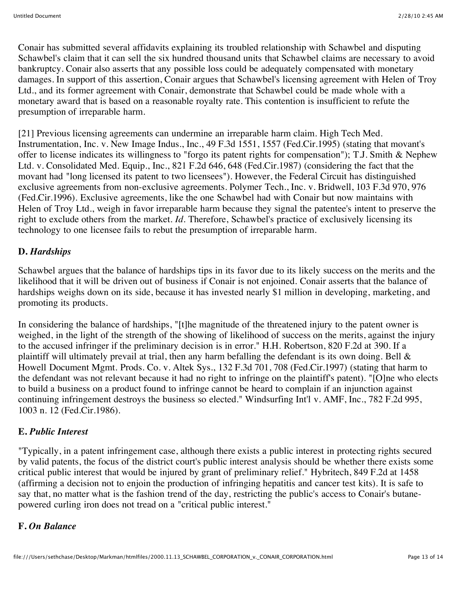Conair has submitted several affidavits explaining its troubled relationship with Schawbel and disputing Schawbel's claim that it can sell the six hundred thousand units that Schawbel claims are necessary to avoid bankruptcy. Conair also asserts that any possible loss could be adequately compensated with monetary damages. In support of this assertion, Conair argues that Schawbel's licensing agreement with Helen of Troy Ltd., and its former agreement with Conair, demonstrate that Schawbel could be made whole with a monetary award that is based on a reasonable royalty rate. This contention is insufficient to refute the presumption of irreparable harm.

[21] Previous licensing agreements can undermine an irreparable harm claim. High Tech Med. Instrumentation, Inc. v. New Image Indus., Inc., 49 F.3d 1551, 1557 (Fed.Cir.1995) (stating that movant's offer to license indicates its willingness to "forgo its patent rights for compensation"); T.J. Smith & Nephew Ltd. v. Consolidated Med. Equip., Inc., 821 F.2d 646, 648 (Fed.Cir.1987) (considering the fact that the movant had "long licensed its patent to two licensees"). However, the Federal Circuit has distinguished exclusive agreements from non-exclusive agreements. Polymer Tech., Inc. v. Bridwell, 103 F.3d 970, 976 (Fed.Cir.1996). Exclusive agreements, like the one Schawbel had with Conair but now maintains with Helen of Troy Ltd., weigh in favor irreparable harm because they signal the patentee's intent to preserve the right to exclude others from the market. *Id.* Therefore, Schawbel's practice of exclusively licensing its technology to one licensee fails to rebut the presumption of irreparable harm.

### **D.** *Hardships*

Schawbel argues that the balance of hardships tips in its favor due to its likely success on the merits and the likelihood that it will be driven out of business if Conair is not enjoined. Conair asserts that the balance of hardships weighs down on its side, because it has invested nearly \$1 million in developing, marketing, and promoting its products.

In considering the balance of hardships, "[t]he magnitude of the threatened injury to the patent owner is weighed, in the light of the strength of the showing of likelihood of success on the merits, against the injury to the accused infringer if the preliminary decision is in error." H.H. Robertson, 820 F.2d at 390. If a plaintiff will ultimately prevail at trial, then any harm befalling the defendant is its own doing. Bell & Howell Document Mgmt. Prods. Co. v. Altek Sys., 132 F.3d 701, 708 (Fed.Cir.1997) (stating that harm to the defendant was not relevant because it had no right to infringe on the plaintiff's patent). "[O]ne who elects to build a business on a product found to infringe cannot be heard to complain if an injunction against continuing infringement destroys the business so elected." Windsurfing Int'l v. AMF, Inc., 782 F.2d 995, 1003 n. 12 (Fed.Cir.1986).

# **E.** *Public Interest*

"Typically, in a patent infringement case, although there exists a public interest in protecting rights secured by valid patents, the focus of the district court's public interest analysis should be whether there exists some critical public interest that would be injured by grant of preliminary relief." Hybritech, 849 F.2d at 1458 (affirming a decision not to enjoin the production of infringing hepatitis and cancer test kits). It is safe to say that, no matter what is the fashion trend of the day, restricting the public's access to Conair's butanepowered curling iron does not tread on a "critical public interest."

### **F.** *On Balance*